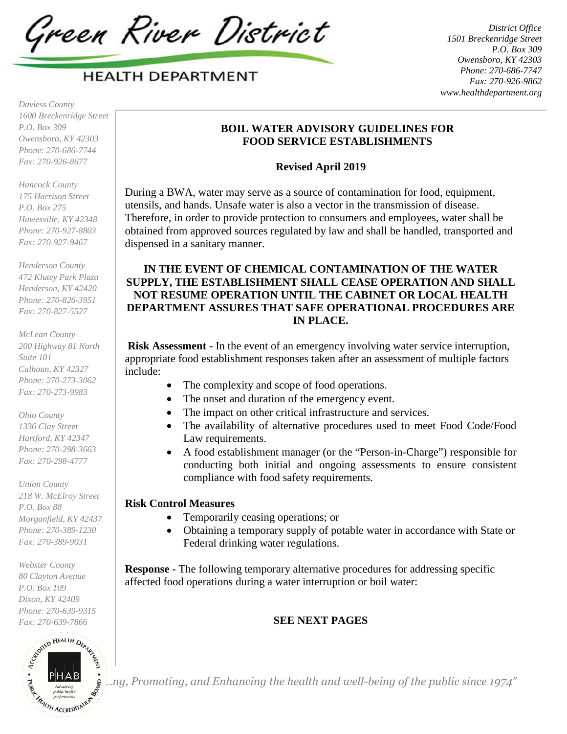Green River District

*District Office 1501 Breckenridge Street P.O. Box 309 Owensboro, KY 42303 Phone: 270-686-7747 Fax: 270-926-9862 www.healthdepartment.org* 

*Daviess County 1600 Breckenridge Street P.O. Box 309 Owensboro, KY 42303 Phone: 270-686-7744 Fax: 270-926-8677* 

*Hancock County 175 Harrison Street P.O. Box 275 Hawesville, KY 42348 Phone: 270-927-8803 Fax: 270-927-9467* 

*Henderson County 472 Klutey Park Plaza Henderson, KY 42420 Phone: 270-826-3951 Fax: 270-827-5527* 

*McLean County 200 Highway 81 North Suite 101 Calhoun, KY 42327 Phone: 270-273-3062 Fax: 270-273-9983* 

*Ohio County 1336 Clay Street Hartford, KY 42347 Phone: 270-298-3663 Fax: 270-298-4777* 

*Union County 218 W. McElroy Street P.O. Box 88 Morganfield, KY 42437 Phone: 270-389-1230 Fax: 270-389-9031* 

*Webster County 80 Clayton Avenue P.O. Box 109 Dixon, KY 42409 Phone: 270-639-9315 Fax: 270-639-7866* 



# **BOIL WATER ADVISORY GUIDELINES FOR FOOD SERVICE ESTABLISHMENTS**

## **Revised April 2019**

During a BWA, water may serve as a source of contamination for food, equipment, utensils, and hands. Unsafe water is also a vector in the transmission of disease. Therefore, in order to provide protection to consumers and employees, water shall be obtained from approved sources regulated by law and shall be handled, transported and dispensed in a sanitary manner.

# **IN THE EVENT OF CHEMICAL CONTAMINATION OF THE WATER SUPPLY, THE ESTABLISHMENT SHALL CEASE OPERATION AND SHALL NOT RESUME OPERATION UNTIL THE CABINET OR LOCAL HEALTH DEPARTMENT ASSURES THAT SAFE OPERATIONAL PROCEDURES ARE IN PLACE.**

 **Risk Assessment -** In the event of an emergency involving water service interruption, appropriate food establishment responses taken after an assessment of multiple factors include:

- The complexity and scope of food operations.
- The onset and duration of the emergency event.
- The impact on other critical infrastructure and services.
- The availability of alternative procedures used to meet Food Code/Food Law requirements.
- A food establishment manager (or the "Person-in-Charge") responsible for conducting both initial and ongoing assessments to ensure consistent compliance with food safety requirements.

# **Risk Control Measures**

- Temporarily ceasing operations; or
- Obtaining a temporary supply of potable water in accordance with State or Federal drinking water regulations.

**Response -** The following temporary alternative procedures for addressing specific affected food operations during a water interruption or boil water:

# **SEE NEXT PAGES**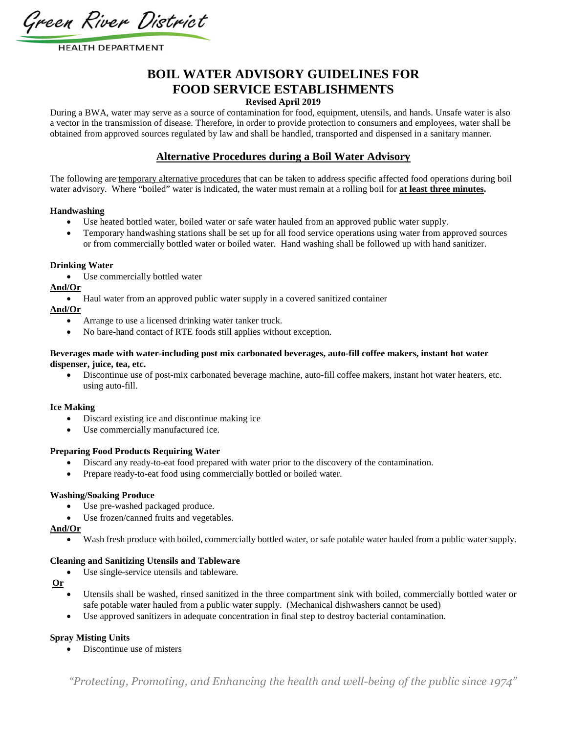Green River District

# **BOIL WATER ADVISORY GUIDELINES FOR FOOD SERVICE ESTABLISHMENTS**

## **Revised April 2019**

During a BWA, water may serve as a source of contamination for food, equipment, utensils, and hands. Unsafe water is also a vector in the transmission of disease. Therefore, in order to provide protection to consumers and employees, water shall be obtained from approved sources regulated by law and shall be handled, transported and dispensed in a sanitary manner.

## **Alternative Procedures during a Boil Water Advisory**

The following are temporary alternative procedures that can be taken to address specific affected food operations during boil water advisory. Where "boiled" water is indicated, the water must remain at a rolling boil for **at least three minutes.**

#### **Handwashing**

- Use heated bottled water, boiled water or safe water hauled from an approved public water supply.
- Temporary handwashing stations shall be set up for all food service operations using water from approved sources or from commercially bottled water or boiled water. Hand washing shall be followed up with hand sanitizer.

#### **Drinking Water**

Use commercially bottled water

#### **And/Or**

Haul water from an approved public water supply in a covered sanitized container

#### **And/Or**

- Arrange to use a licensed drinking water tanker truck.
- No bare-hand contact of RTE foods still applies without exception.

#### **Beverages made with water-including post mix carbonated beverages, auto-fill coffee makers, instant hot water dispenser, juice, tea, etc.**

 Discontinue use of post-mix carbonated beverage machine, auto-fill coffee makers, instant hot water heaters, etc. using auto-fill.

#### **Ice Making**

- Discard existing ice and discontinue making ice
- Use commercially manufactured ice.

#### **Preparing Food Products Requiring Water**

- Discard any ready-to-eat food prepared with water prior to the discovery of the contamination.
- Prepare ready-to-eat food using commercially bottled or boiled water.

#### **Washing/Soaking Produce**

- Use pre-washed packaged produce.
- Use frozen/canned fruits and vegetables.

#### **And/Or**

Wash fresh produce with boiled, commercially bottled water, or safe potable water hauled from a public water supply.

#### **Cleaning and Sanitizing Utensils and Tableware**

Use single-service utensils and tableware.

#### **Or**

- Utensils shall be washed, rinsed sanitized in the three compartment sink with boiled, commercially bottled water or safe potable water hauled from a public water supply. (Mechanical dishwashers cannot be used)
- Use approved sanitizers in adequate concentration in final step to destroy bacterial contamination.

#### **Spray Misting Units**

Discontinue use of misters

*"Protecting, Promoting, and Enhancing the health and well-being of the public since 1974"*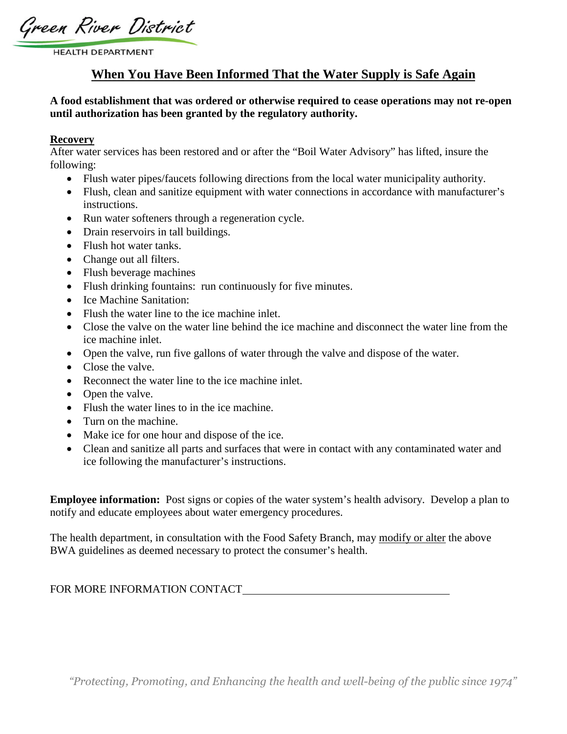Green River District

# **When You Have Been Informed That the Water Supply is Safe Again**

## **A food establishment that was ordered or otherwise required to cease operations may not re-open until authorization has been granted by the regulatory authority.**

## **Recovery**

After water services has been restored and or after the "Boil Water Advisory" has lifted, insure the following:

- Flush water pipes/faucets following directions from the local water municipality authority.
- Flush, clean and sanitize equipment with water connections in accordance with manufacturer's instructions.
- Run water softeners through a regeneration cycle.
- Drain reservoirs in tall buildings.
- Flush hot water tanks.
- Change out all filters.
- Flush beverage machines
- Flush drinking fountains: run continuously for five minutes.
- Ice Machine Sanitation:
- Flush the water line to the ice machine inlet.
- Close the valve on the water line behind the ice machine and disconnect the water line from the ice machine inlet.
- Open the valve, run five gallons of water through the valve and dispose of the water.
- Close the valve.
- Reconnect the water line to the ice machine inlet.
- Open the valve.
- Flush the water lines to in the ice machine.
- Turn on the machine.
- Make ice for one hour and dispose of the ice.
- Clean and sanitize all parts and surfaces that were in contact with any contaminated water and ice following the manufacturer's instructions.

**Employee information:** Post signs or copies of the water system's health advisory. Develop a plan to notify and educate employees about water emergency procedures.

The health department, in consultation with the Food Safety Branch, may modify or alter the above BWA guidelines as deemed necessary to protect the consumer's health.

## FOR MORE INFORMATION CONTACT SERVICES AND THE SERVICES OF STREET AND THE SERVICES OF STREET AND THE SERVICES OF STREET AND THE SERVICES OF STREET AND THE SERVICES OF STREET AND THE SERVICE OF STREET AND THE SERVICE OF STRE